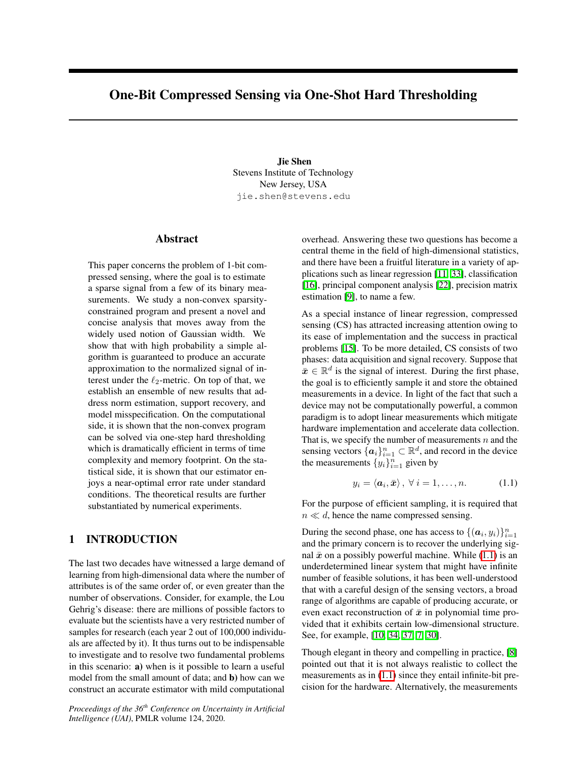# <span id="page-0-2"></span><span id="page-0-1"></span>One-Bit Compressed Sensing via One-Shot Hard Thresholding

Jie Shen Stevens Institute of Technology New Jersey, USA jie.shen@stevens.edu

# Abstract

<span id="page-0-4"></span>This paper concerns the problem of 1-bit compressed sensing, where the goal is to estimate a sparse signal from a few of its binary measurements. We study a non-convex sparsityconstrained program and present a novel and concise analysis that moves away from the widely used notion of Gaussian width. We show that with high probability a simple algorithm is guaranteed to produce an accurate approximation to the normalized signal of interest under the  $\ell_2$ -metric. On top of that, we establish an ensemble of new results that address norm estimation, support recovery, and model misspecification. On the computational side, it is shown that the non-convex program can be solved via one-step hard thresholding which is dramatically efficient in terms of time complexity and memory footprint. On the statistical side, it is shown that our estimator enjoys a near-optimal error rate under standard conditions. The theoretical results are further substantiated by numerical experiments.

# 1 INTRODUCTION

<span id="page-0-3"></span>The last two decades have witnessed a large demand of learning from high-dimensional data where the number of attributes is of the same order of, or even greater than the number of observations. Consider, for example, the Lou Gehrig's disease: there are millions of possible factors to evaluate but the scientists have a very restricted number of samples for research (each year 2 out of 100,000 individuals are affected by it). It thus turns out to be indispensable to investigate and to resolve two fundamental problems in this scenario: a) when is it possible to learn a useful model from the small amount of data; and b) how can we construct an accurate estimator with mild computational

*Proceedings of the 36th Conference on Uncertainty in Artificial Intelligence (UAI)*, PMLR volume 124, 2020.

overhead. Answering these two questions has become a central theme in the field of high-dimensional statistics, and there have been a fruitful literature in a variety of applications such as linear regression  $[11, 33]$  $[11, 33]$  $[11, 33]$ , classification [\[16\]](#page-8-1), principal component analysis [\[22\]](#page-9-1), precision matrix estimation  $[9]$ , to name a few.

As a special instance of linear regression, compressed sensing (CS) has attracted increasing attention owing to its ease of implementation and the success in practical problems [\[15\]](#page-8-3). To be more detailed, CS consists of two phases: data acquisition and signal recovery. Suppose that  $\bar{x} \in \mathbb{R}^d$  is the signal of interest. During the first phase, the goal is to efficiently sample it and store the obtained measurements in a device. In light of the fact that such a device may not be computationally powerful, a common paradigm is to adopt linear measurements which mitigate hardware implementation and accelerate data collection. That is, we specify the number of measurements *n* and the sensing vectors  $\{a_i\}_{i=1}^n \subset \mathbb{R}^d$ , and record in the device the measurements  $\{y_i\}_{i=1}^n$  given by

<span id="page-0-0"></span>
$$
y_i = \langle \boldsymbol{a}_i, \bar{\boldsymbol{x}} \rangle, \ \forall \ i = 1, \dots, n. \tag{1.1}
$$

For the purpose of efficient sampling, it is required that  $n \ll d$ , hence the name compressed sensing.

During the second phase, one has access to  $\{(a_i, y_i)\}_{i=1}^n$ and the primary concern is to recover the underlying signal  $\bar{x}$  on a possibly powerful machine. While  $(1.1)$  is an underdetermined linear system that might have infinite number of feasible solutions, it has been well-understood that with a careful design of the sensing vectors, a broad range of algorithms are capable of producing accurate, or even exact reconstruction of  $\bar{x}$  in polynomial time provided that it exhibits certain low-dimensional structure. See, for example, **[\[10,](#page-8-4) [34,](#page-9-2) [37,](#page-9-3) [7,](#page-8-5) [30\]](#page-9-4)**.

Though elegant in theory and compelling in practice, [\[8\]](#page-8-6) pointed out that it is not always realistic to collect the measurements as in  $(1.1)$  since they entail infinite-bit precision for the hardware. Alternatively, the measurements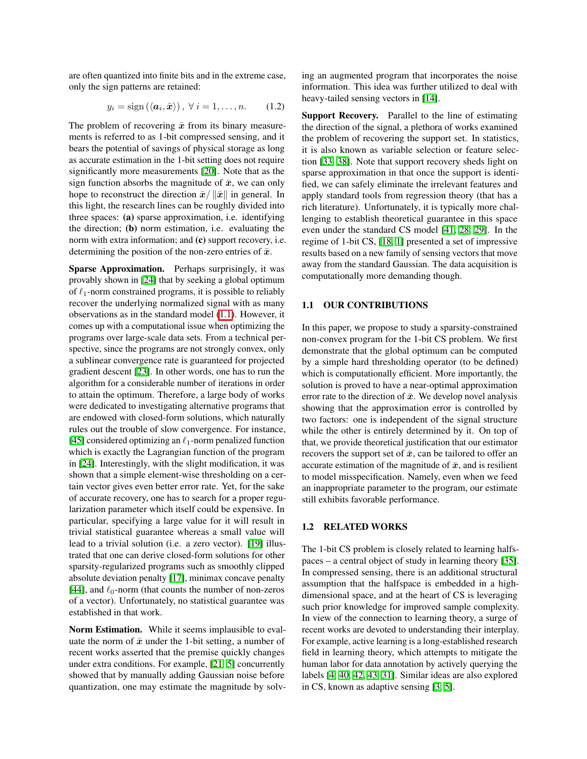are often quantized into finite bits and in the extreme case, only the sign patterns are retained:

<span id="page-1-0"></span>
$$
y_i = sign\left(\langle \boldsymbol{a}_i, \bar{\boldsymbol{x}} \rangle\right), \ \forall \ i = 1, \dots, n. \qquad (1.2)
$$

The problem of recovering  $\bar{x}$  from its binary measurements is referred to as 1-bit compressed sensing, and it bears the potential of savings of physical storage as long as accurate estimation in the 1-bit setting does not require significantly more measurements [\[20\]](#page-8-7). Note that as the sign function absorbs the magnitude of  $\bar{x}$ , we can only hope to reconstruct the direction  $\bar{x}/\|\bar{x}\|$  in general. In this light, the research lines can be roughly divided into three spaces: (a) sparse approximation, i.e. identifying the direction; (b) norm estimation, i.e. evaluating the norm with extra information; and (c) support recovery, i.e. determining the position of the non-zero entries of  $\bar{x}$ .

Sparse Approximation. Perhaps surprisingly, it was provably shown in [\[24\]](#page-9-5) that by seeking a global optimum of  $\ell_1$ -norm constrained programs, it is possible to reliably recover the underlying normalized signal with as many observations as in the standard model  $(1.1)$ . However, it comes up with a computational issue when optimizing the programs over large-scale data sets. From a technical perspective, since the programs are not strongly convex, only a sublinear convergence rate is guaranteed for projected gradient descent  $[23]$ . In other words, one has to run the algorithm for a considerable number of iterations in order to attain the optimum. Therefore, a large body of works were dedicated to investigating alternative programs that are endowed with closed-form solutions, which naturally rules out the trouble of slow convergence. For instance, [\[45\]](#page-9-7) considered optimizing an  $\ell_1$ -norm penalized function which is exactly the Lagrangian function of the program in [\[24\]](#page-9-5). Interestingly, with the slight modification, it was shown that a simple element-wise thresholding on a certain vector gives even better error rate. Yet, for the sake of accurate recovery, one has to search for a proper regularization parameter which itself could be expensive. In particular, specifying a large value for it will result in trivial statistical guarantee whereas a small value will lead to a trivial solution (i.e. a zero vector). **[\[19\]](#page-8-8)** illustrated that one can derive closed-form solutions for other sparsity-regularized programs such as smoothly clipped absolute deviation penalty  $[17]$ , minimax concave penalty  $[44]$ , and  $\ell_0$ -norm (that counts the number of non-zeros of a vector). Unfortunately, no statistical guarantee was established in that work.

Norm Estimation. While it seems implausible to evaluate the norm of  $\bar{x}$  under the 1-bit setting, a number of recent works asserted that the premise quickly changes under extra conditions. For example,  $[21, 5]$  $[21, 5]$  $[21, 5]$  concurrently showed that by manually adding Gaussian noise before quantization, one may estimate the magnitude by solving an augmented program that incorporates the noise information. This idea was further utilized to deal with heavy-tailed sensing vectors in [\[14\]](#page-8-11).

Support Recovery. Parallel to the line of estimating the direction of the signal, a plethora of works examined the problem of recovering the support set. In statistics, it is also known as variable selection or feature selection [\[33,](#page-9-0) [38\]](#page-9-10). Note that support recovery sheds light on sparse approximation in that once the support is identified, we can safely eliminate the irrelevant features and apply standard tools from regression theory (that has a rich literature). Unfortunately, it is typically more challenging to establish theoretical guarantee in this space even under the standard CS model  $[41, 28, 29]$  $[41, 28, 29]$  $[41, 28, 29]$  $[41, 28, 29]$  $[41, 28, 29]$ . In the regime of 1-bit CS,  $[18, 1]$  $[18, 1]$  $[18, 1]$  presented a set of impressive results based on a new family of sensing vectors that move away from the standard Gaussian. The data acquisition is computationally more demanding though.

### 1.1 OUR CONTRIBUTIONS

In this paper, we propose to study a sparsity-constrained non-convex program for the 1-bit CS problem. We first demonstrate that the global optimum can be computed by a simple hard thresholding operator (to be defined) which is computationally efficient. More importantly, the solution is proved to have a near-optimal approximation error rate to the direction of  $\bar{x}$ . We develop novel analysis showing that the approximation error is controlled by two factors: one is independent of the signal structure while the other is entirely determined by it. On top of that, we provide theoretical justification that our estimator recovers the support set of  $\bar{x}$ , can be tailored to offer an accurate estimation of the magnitude of  $\bar{x}$ , and is resilient to model misspecification. Namely, even when we feed an inappropriate parameter to the program, our estimate still exhibits favorable performance.

## 1.2 RELATED WORKS

The 1-bit CS problem is closely related to learning halfspaces – a central object of study in learning theory [\[35\]](#page-9-14). In compressed sensing, there is an additional structural assumption that the halfspace is embedded in a highdimensional space, and at the heart of CS is leveraging such prior knowledge for improved sample complexity. In view of the connection to learning theory, a surge of recent works are devoted to understanding their interplay. For example, active learning is a long-established research field in learning theory, which attempts to mitigate the human labor for data annotation by actively querying the labels  $\left[4, 40, 42, 43, 31\right]$  $\left[4, 40, 42, 43, 31\right]$  $\left[4, 40, 42, 43, 31\right]$  $\left[4, 40, 42, 43, 31\right]$  $\left[4, 40, 42, 43, 31\right]$  $\left[4, 40, 42, 43, 31\right]$  $\left[4, 40, 42, 43, 31\right]$  $\left[4, 40, 42, 43, 31\right]$  $\left[4, 40, 42, 43, 31\right]$ . Similar ideas are also explored in CS, known as adaptive sensing  $[3, 5]$  $[3, 5]$ .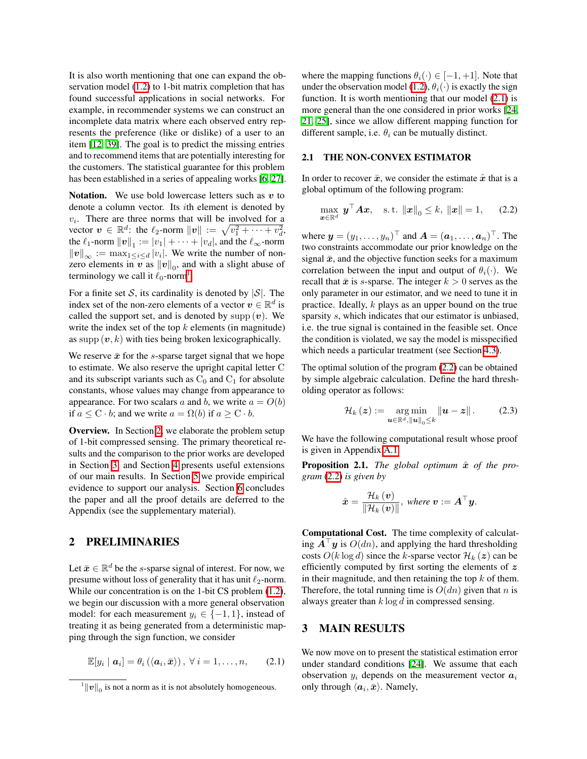It is also worth mentioning that one can expand the observation model  $(1.2)$  to 1-bit matrix completion that has found successful applications in social networks. For example, in recommender systems we can construct an incomplete data matrix where each observed entry represents the preference (like or dislike) of a user to an item  $[12, 39]$  $[12, 39]$  $[12, 39]$ . The goal is to predict the missing entries and to recommend items that are potentially interesting for the customers. The statistical guarantee for this problem has been established in a series of appealing works  $[6, 27]$  $[6, 27]$  $[6, 27]$ .

Notation. We use bold lowercase letters such as *v* to denote a column vector. Its *i*th element is denoted by  $v_i$ . There are three norms that will be involved for a vector  $v \in \mathbb{R}^d$ : the  $\ell_2$ -norm  $\|v\| := \sqrt{v_1^2 + \cdots + v_d^2}$ , the  $\ell_1$ -norm  $\|\mathbf{v}\|_1 := |v_1| + \cdots + |v_d|$ , and the  $\ell_{\infty}$ -norm  $||v||_{\infty} := \max_{1 \leq i \leq d} |v_i|$ . We write the number of nonzero elements in *v* as  $||v||_0$ , and with a slight abuse of terminology we call it  $\ell_0$ -norm<sup>1</sup>.

For a finite set *S*, its cardinality is denoted by  $|S|$ . The index set of the non-zero elements of a vector  $v \in \mathbb{R}^d$  is called the support set, and is denoted by supp  $(v)$ . We write the index set of the top *k* elements (in magnitude) as supp  $(v, k)$  with ties being broken lexicographically.

We reserve  $\bar{x}$  for the *s*-sparse target signal that we hope to estimate. We also reserve the upright capital letter C and its subscript variants such as  $C_0$  and  $C_1$  for absolute constants, whose values may change from appearance to appearance. For two scalars *a* and *b*, we write  $a = O(b)$ if  $a \leq C \cdot b$ ; and we write  $a = \Omega(b)$  if  $a \geq C \cdot b$ .

**Overview.** In Section  $\overline{2}$ , we elaborate the problem setup of 1-bit compressed sensing. The primary theoretical results and the comparison to the prior works are developed in Section  $\overline{3}$ , and Section  $\overline{4}$  presents useful extensions of our main results. In Section  $\sqrt{5}$  we provide empirical evidence to support our analysis. Section  $\overline{6}$  concludes the paper and all the proof details are deferred to the Appendix (see the supplementary material).

# <span id="page-2-1"></span>2 PRELIMINARIES

Let  $\bar{x} \in \mathbb{R}^d$  be the *s*-sparse signal of interest. For now, we presume without loss of generality that it has unit  $\ell_2$ -norm. While our concentration is on the 1-bit CS problem  $(1.2)$ , we begin our discussion with a more general observation model: for each measurement  $y_i \in \{-1, 1\}$ , instead of treating it as being generated from a deterministic mapping through the sign function, we consider

<span id="page-2-3"></span>
$$
\mathbb{E}[y_i | \boldsymbol{a}_i] = \theta_i (\langle \boldsymbol{a}_i, \bar{\boldsymbol{x}} \rangle), \ \forall \ i = 1, \ldots, n, \qquad (2.1)
$$

where the mapping functions  $\theta_i(\cdot) \in [-1, +1]$ . Note that under the observation model  $(1.2)$ ,  $\theta_i(\cdot)$  is exactly the sign function. It is worth mentioning that our model  $(2.1)$  is more general than the one considered in prior works [24], [21,](#page-9-9) [25\]](#page-9-21), since we allow different mapping function for different sample, i.e.  $\theta_i$  can be mutually distinct.

## 2.1 THE NON-CONVEX ESTIMATOR

In order to recover  $\bar{x}$ , we consider the estimate  $\hat{x}$  that is a global optimum of the following program:

<span id="page-2-4"></span>
$$
\max_{\bm{x}\in\mathbb{R}^d} \bm{y}^\top \bm{A}\bm{x}, \quad \text{s.t. } \|\bm{x}\|_0 \leq k, \ \|\bm{x}\| = 1, \qquad (2.2)
$$

where  $\mathbf{y} = (y_1, \ldots, y_n)^\top$  and  $\mathbf{A} = (\mathbf{a}_1, \ldots, \mathbf{a}_n)^\top$ . The two constraints accommodate our prior knowledge on the signal  $\bar{x}$ , and the objective function seeks for a maximum correlation between the input and output of  $\theta_i(\cdot)$ . We recall that  $\bar{x}$  is *s*-sparse. The integer  $k > 0$  serves as the only parameter in our estimator, and we need to tune it in practice. Ideally, *k* plays as an upper bound on the true sparsity *s*, which indicates that our estimator is unbiased, i.e. the true signal is contained in the feasible set. Once the condition is violated, we say the model is misspecified which needs a particular treatment (see Section  $\overline{4.3}$ ).

The optimal solution of the program  $(2.2)$  can be obtained by simple algebraic calculation. Define the hard thresholding operator as follows:

$$
\mathcal{H}_{k}\left(\boldsymbol{z}\right) := \underset{\boldsymbol{u} \in \mathbb{R}^{d}, ||\boldsymbol{u}||_{0} \leq k}{\arg \min} ||\boldsymbol{u} - \boldsymbol{z}||. \tag{2.3}
$$

We have the following computational result whose proof is given in Appendix  $[A,1]$ 

<span id="page-2-5"></span>**Proposition 2.1.** *The global optimum*  $\hat{x}$  *of the program* [\(2.2\)](#page-2-4) *is given by*

$$
\hat{\boldsymbol{x}} = \frac{\mathcal{H}_k(\boldsymbol{v})}{\|\mathcal{H}_k(\boldsymbol{v})\|}, \text{ where } \boldsymbol{v} := \boldsymbol{A}^\top \boldsymbol{y}.
$$

Computational Cost. The time complexity of calculating  $A^{\dagger}y$  is  $O(dn)$ , and applying the hard thresholding costs  $O(k \log d)$  since the *k*-sparse vector  $\mathcal{H}_k(z)$  can be efficiently computed by first sorting the elements of *z* in their magnitude, and then retaining the top *k* of them. Therefore, the total running time is  $O(dn)$  given that *n* is always greater than *k* log *d* in compressed sensing.

# <span id="page-2-2"></span>3 MAIN RESULTS

We now move on to present the statistical estimation error under standard conditions  $[24]$ . We assume that each observation *y<sup>i</sup>* depends on the measurement vector *a<sup>i</sup>* only through  $\langle a_i, \bar{x} \rangle$ . Namely,

<span id="page-2-0"></span> $\|v\|_0$  is not a norm as it is not absolutely homogeneous.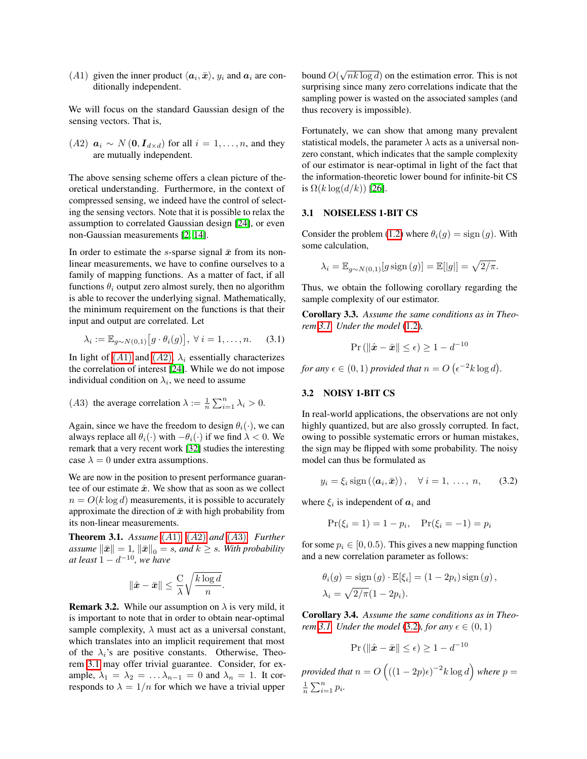<span id="page-3-0"></span>(*A*1) given the inner product  $\langle a_i, \bar{x} \rangle$ ,  $y_i$  and  $a_i$  are conditionally independent.

We will focus on the standard Gaussian design of the sensing vectors. That is,

<span id="page-3-1"></span>(A2) 
$$
a_i \sim N(0, I_{d \times d})
$$
 for all  $i = 1, ..., n$ , and they are mutually independent.

The above sensing scheme offers a clean picture of theoretical understanding. Furthermore, in the context of compressed sensing, we indeed have the control of selecting the sensing vectors. Note that it is possible to relax the assumption to correlated Gaussian design [\[24\]](#page-9-5), or even non-Gaussian measurements [\[2,](#page-8-19) [14\]](#page-8-11).

In order to estimate the *s*-sparse signal  $\bar{x}$  from its nonlinear measurements, we have to confine ourselves to a family of mapping functions. As a matter of fact, if all functions  $\theta_i$  output zero almost surely, then no algorithm is able to recover the underlying signal. Mathematically, the minimum requirement on the functions is that their input and output are correlated. Let

$$
\lambda_i := \mathbb{E}_{g \sim N(0,1)}[g \cdot \theta_i(g)], \ \forall \ i = 1,\ldots,n. \tag{3.1}
$$

In light of  $\boxed{(A1)}$  $\boxed{(A1)}$  $\boxed{(A1)}$  and  $\boxed{(A2)}$  $\boxed{(A2)}$  $\boxed{(A2)}$ ,  $\lambda_i$  essentially characterizes the correlation of interest  $\overline{24}$ . While we do not impose individual condition on  $\lambda_i$ , we need to assume

<span id="page-3-2"></span>(A3) the average correlation 
$$
\lambda := \frac{1}{n} \sum_{i=1}^{n} \lambda_i > 0
$$
.

Again, since we have the freedom to design  $\theta_i(\cdot)$ , we can always replace all  $\theta_i(\cdot)$  with  $-\theta_i(\cdot)$  if we find  $\lambda < 0$ . We remark that a very recent work [\[32\]](#page-9-22) studies the interesting case  $\lambda = 0$  under extra assumptions.

We are now in the position to present performance guarantee of our estimate  $\hat{x}$ . We show that as soon as we collect  $n = O(k \log d)$  measurements, it is possible to accurately approximate the direction of  $\bar{x}$  with high probability from its non-linear measurements.

<span id="page-3-3"></span>**Theorem 3.1.** Assume  $\boxed{(A1)}$  $\boxed{(A1)}$  $\boxed{(A1)}$ ,  $\boxed{(A2)}$  $\boxed{(A2)}$  $\boxed{(A2)}$  and  $\boxed{(A3)}$  $\boxed{(A3)}$  $\boxed{(A3)}$ . Further  $a$ *ssume*  $\|\bar{x}\| = 1$ ,  $\|\bar{x}\|_0 = s$ , and  $k \geq s$ . With probability *at least*  $1 - d^{-10}$ , we have

$$
\|\hat{\boldsymbol{x}}-\bar{\boldsymbol{x}}\| \leq \frac{C}{\lambda} \sqrt{\frac{k \log d}{n}}.
$$

**Remark 3.2.** While our assumption on  $\lambda$  is very mild, it is important to note that in order to obtain near-optimal sample complexity,  $\lambda$  must act as a universal constant, which translates into an implicit requirement that most of the  $\lambda_i$ 's are positive constants. Otherwise, Theorem [3.1](#page-3-3) may offer trivial guarantee. Consider, for example,  $\lambda_1 = \lambda_2 = \ldots \lambda_{n-1} = 0$  and  $\lambda_n = 1$ . It corresponds to  $\lambda = 1/n$  for which we have a trivial upper

bound  $O(\sqrt{nk \log d})$  on the estimation error. This is not surprising since many zero correlations indicate that the sampling power is wasted on the associated samples (and thus recovery is impossible).

Fortunately, we can show that among many prevalent statistical models, the parameter  $\lambda$  acts as a universal nonzero constant, which indicates that the sample complexity of our estimator is near-optimal in light of the fact that the information-theoretic lower bound for infinite-bit CS is  $\Omega(k \log(d/k))$  [\[26\]](#page-9-23).

#### 3.1 NOISELESS 1-BIT CS

Consider the problem  $(1.2)$  where  $\theta_i(g) = \text{sign}(g)$ . With some calculation,

$$
\lambda_i = \mathbb{E}_{g \sim N(0,1)}[g \operatorname{sign}(g)] = \mathbb{E}[|g|] = \sqrt{2/\pi}.
$$

Thus, we obtain the following corollary regarding the sample complexity of our estimator.

Corollary 3.3. *Assume the same conditions as in Theorem* $\overline{3.1}$  *Under the model*  $(1.2)$ *,* 

 $\Pr (||\hat{x} - \bar{x}|| < \epsilon) > 1 - d^{-10}$ 

*for any*  $\epsilon \in (0,1)$  *provided that*  $n = O(\epsilon^{-2}k \log d)$ .

#### 3.2 NOISY 1-BIT CS

In real-world applications, the observations are not only highly quantized, but are also grossly corrupted. In fact, owing to possible systematic errors or human mistakes, the sign may be flipped with some probability. The noisy model can thus be formulated as

<span id="page-3-4"></span>
$$
y_i = \xi_i \operatorname{sign}(\langle \boldsymbol{a}_i, \bar{\boldsymbol{x}} \rangle), \quad \forall \ i = 1, \ \ldots, \ n, \qquad (3.2)
$$

where  $\xi_i$  is independent of  $a_i$  and

$$
Pr(\xi_i = 1) = 1 - p_i, \quad Pr(\xi_i = -1) = p_i
$$

for some  $p_i \in [0, 0.5)$ . This gives a new mapping function and a new correlation parameter as follows:

$$
\theta_i(g) = \text{sign}(g) \cdot \mathbb{E}[\xi_i] = (1 - 2p_i)\text{sign}(g),
$$
  

$$
\lambda_i = \sqrt{2/\pi}(1 - 2p_i).
$$

Corollary 3.4. *Assume the same conditions as in Theorem*  $\overline{3.1}$  *Under the model*  $\overline{(3.2)}$  $\overline{(3.2)}$  $\overline{(3.2)}$ *, for any*  $\epsilon \in (0,1)$ 

$$
\Pr\left(\|\hat{\mathbf{x}} - \bar{\mathbf{x}}\| \leq \epsilon\right) \geq 1 - d^{-10}
$$

provided that  $n = O\left(\left((1-2p)\epsilon\right)^{-2}k\log d\right)$  where  $p =$  $\frac{1}{n} \sum_{i=1}^{n} p_i$ .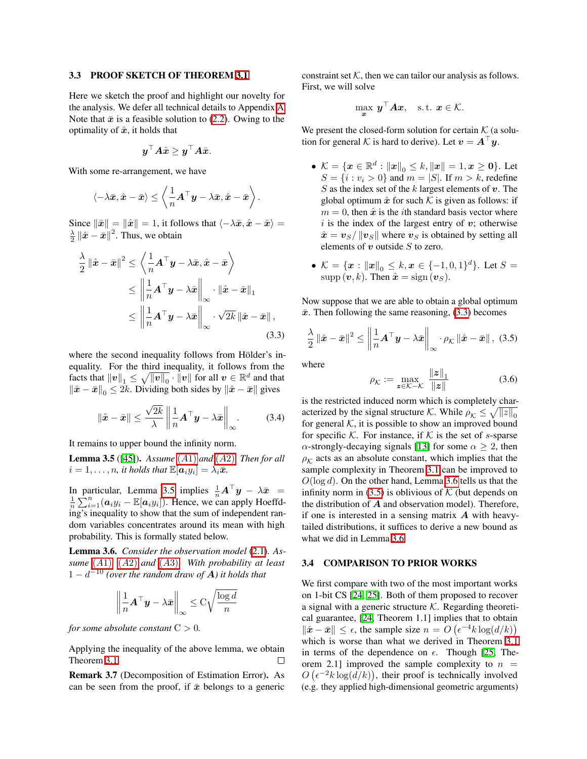#### 3.3 PROOF SKETCH OF THEOREM [3.1](#page-3-3)

Here we sketch the proof and highlight our novelty for the analysis. We defer all technical details to Appendix  $\overline{A}$ . Note that  $\bar{x}$  is a feasible solution to  $(2.2)$ . Owing to the optimality of  $\hat{x}$ , it holds that

$$
\boldsymbol{y}^\top A \hat{\boldsymbol{x}} \geq \boldsymbol{y}^\top A \bar{\boldsymbol{x}}.
$$

With some re-arrangement, we have

$$
\langle -\lambda \bar{\boldsymbol{x}}, \hat{\boldsymbol{x}} - \bar{\boldsymbol{x}} \rangle \le \left\langle \frac{1}{n} \boldsymbol{A}^\top \boldsymbol{y} - \lambda \bar{\boldsymbol{x}}, \hat{\boldsymbol{x}} - \bar{\boldsymbol{x}} \right\rangle.
$$

Since  $\|\bar{x}\| = \|\hat{x}\| = 1$ , it follows that  $\langle -\lambda \bar{x}, \hat{x} - \bar{x} \rangle =$  $\frac{\lambda}{2} \left\| \hat{x} - \bar{x} \right\|^2$ . Thus, we obtain

$$
\frac{\lambda}{2} \|\hat{\boldsymbol{x}} - \bar{\boldsymbol{x}}\|^2 \le \left\langle \frac{1}{n} \boldsymbol{A}^\top \boldsymbol{y} - \lambda \bar{\boldsymbol{x}}, \hat{\boldsymbol{x}} - \bar{\boldsymbol{x}} \right\rangle
$$
  
\n
$$
\le \left\| \frac{1}{n} \boldsymbol{A}^\top \boldsymbol{y} - \lambda \bar{\boldsymbol{x}} \right\|_{\infty} \cdot \left\| \hat{\boldsymbol{x}} - \bar{\boldsymbol{x}} \right\|_1
$$
  
\n
$$
\le \left\| \frac{1}{n} \boldsymbol{A}^\top \boldsymbol{y} - \lambda \bar{\boldsymbol{x}} \right\|_{\infty} \cdot \sqrt{2k} \left\| \hat{\boldsymbol{x}} - \bar{\boldsymbol{x}} \right\|_1
$$
  
\n(3.3)

where the second inequality follows from Hölder's inequality. For the third inequality, it follows from the facts that  $\|\boldsymbol{v}\|_1 \leq \sqrt{\|\boldsymbol{v}\|_0} \cdot \|\boldsymbol{v}\|$  for all  $\boldsymbol{v} \in \mathbb{R}^d$  and that  $\|\hat{\boldsymbol{x}} - \bar{\boldsymbol{x}}\|_{0} \leq 2k$ . Dividing both sides by  $\|\hat{\boldsymbol{x}} - \bar{\boldsymbol{x}}\|$  gives

$$
\|\hat{\boldsymbol{x}} - \bar{\boldsymbol{x}}\| \le \frac{\sqrt{2k}}{\lambda} \left\| \frac{1}{n} \boldsymbol{A}^\top \boldsymbol{y} - \lambda \bar{\boldsymbol{x}} \right\|_{\infty}.
$$
 (3.4)

It remains to upper bound the infinity norm.

<span id="page-4-0"></span>**Lemma 3.5** ( $[45]$ ). *Assume*  $\overline{(A1)}$  $\overline{(A1)}$  $\overline{(A1)}$  *and*  $\overline{(A2)}$  $\overline{(A2)}$  $\overline{(A2)}$ *. Then for all*  $i = 1, \ldots, n$ *, it holds that*  $\mathbb{E}[a_i y_i] = \lambda_i \overline{x}$ *.* 

In particular, Lemma  $3.5$  implies  $\frac{1}{n}A^{\top}y - \lambda \bar{x} =$ <br> $\frac{1}{n}\sum_{n=1}^{n} (a_iy_i - \mathbb{E}[a_iy_i])$ . Hence we can apply Hoeffd  $\frac{1}{n}\sum_{i=1}^{n} (a_i y_i - \mathbb{E}[a_i y_i])$ . Hence, we can apply Hoeffding's inequality to show that the sum of independent random variables concentrates around its mean with high probability. This is formally stated below.

<span id="page-4-2"></span>**Lemma 3.6.** *Consider the observation model* [\(2.1\)](#page-2-3). As*sume* (*A*[1\)](#page-3-0)*,* (*A*[2\)](#page-3-1) *and* (*A*[3\)](#page-3-2)*. With probability at least*  $1 - d^{-10}$  *(over the random draw of A) it holds that* 

$$
\left\|\frac{1}{n}\mathbf{A}^\top \mathbf{y} - \lambda \bar{\mathbf{x}}\right\|_{\infty} \leq C\sqrt{\frac{\log d}{n}}
$$

*for some absolute constant* C *>* 0*.*

Applying the inequality of the above lemma, we obtain Theorem [3.1.](#page-3-3) □

<span id="page-4-4"></span>Remark 3.7 (Decomposition of Estimation Error). As can be seen from the proof, if  $\bar{x}$  belongs to a generic constraint set  $K$ , then we can tailor our analysis as follows. First, we will solve

$$
\max_{\bm{x}} \; \bm{y}^{\top} \bm{A} \bm{x}, \quad \text{s.t.} \; \bm{x} \in \mathcal{K}.
$$

We present the closed-form solution for certain  $K$  (a solution for general *K* is hard to derive). Let  $v = A^{\dagger} y$ .

- $\mathcal{K} = \{ \mathbf{x} \in \mathbb{R}^d : ||\mathbf{x}||_0 \le k, ||\mathbf{x}|| = 1, \mathbf{x} \ge 0 \}.$  Let  $S = \{i : v_i > 0\}$  and  $m = |S|$ . If  $m > k$ , redefine *S* as the index set of the *k* largest elements of *v*. The global optimum  $\hat{x}$  for such  $K$  is given as follows: if  $m = 0$ , then  $\hat{x}$  is the *i*th standard basis vector where  $i$  is the index of the largest entry of  $v$ ; otherwise  $\hat{x} = v_s / ||v_s||$  where  $v_s$  is obtained by setting all elements of *v* outside *S* to zero.
- $\mathcal{K} = {\mathbf{x} : ||\mathbf{x}||_0 \le k, \mathbf{x} \in \{-1, 0, 1\}^d\}}$ . Let  $S =$  $\mathrm{supp}\left(\boldsymbol{v},k\right)$ . Then  $\hat{\boldsymbol{x}} = \mathrm{sign}\left(\boldsymbol{v}_S\right)$ .

Now suppose that we are able to obtain a global optimum  $\bar{x}$ . Then following the same reasoning,  $(3.3)$  becomes

<span id="page-4-3"></span><span id="page-4-1"></span>
$$
\frac{\lambda}{2} \left\| \hat{\boldsymbol{x}} - \bar{\boldsymbol{x}} \right\|^2 \le \left\| \frac{1}{n} \boldsymbol{A}^\top \boldsymbol{y} - \lambda \bar{\boldsymbol{x}} \right\|_{\infty} \cdot \rho_{\mathcal{K}} \left\| \hat{\boldsymbol{x}} - \bar{\boldsymbol{x}} \right\|, (3.5)
$$

where

$$
\rho_K := \max_{z \in K - K} \frac{\|z\|_1}{\|z\|} \tag{3.6}
$$

is the restricted induced norm which is completely characterized by the signal structure *K*. While  $\rho_K \leq \sqrt{\|z\|_0}$ for general  $K$ , it is possible to show an improved bound for specific  $K$ . For instance, if  $K$  is the set of *s*-sparse  $\alpha$ -strongly-decaying signals [\[13\]](#page-8-20) for some  $\alpha \geq 2$ , then  $\rho_K$  acts as an absolute constant, which implies that the sample complexity in Theorem  $\overline{3.1}$  can be improved to  $O(\log d)$ . On the other hand, Lemma  $3.6$  tells us that the infinity norm in  $(3.5)$  is oblivious of K (but depends on the distribution of *A* and observation model). Therefore, if one is interested in a sensing matrix *A* with heavytailed distributions, it suffices to derive a new bound as what we did in Lemma [3.6.](#page-4-2)

#### 3.4 COMPARISON TO PRIOR WORKS

We first compare with two of the most important works on 1-bit CS  $[24, 25]$  $[24, 25]$  $[24, 25]$ . Both of them proposed to recover a signal with a generic structure *K*. Regarding theoretical guarantee,  $[24]$ , Theorem 1.1] implies that to obtain  $\|\hat{\boldsymbol{x}} - \bar{\boldsymbol{x}}\| \leq \epsilon$ , the sample size  $n = O\left(\epsilon^{-4} k \log(d/k)\right)$ which is worse than what we derived in Theorem  $3.1$ in terms of the dependence on  $\epsilon$ . Though [25], Theorem 2.1] improved the sample complexity to  $n =$  $O\left(\epsilon^{-2}k\log(d/k)\right)$ , their proof is technically involved (e.g. they applied high-dimensional geometric arguments)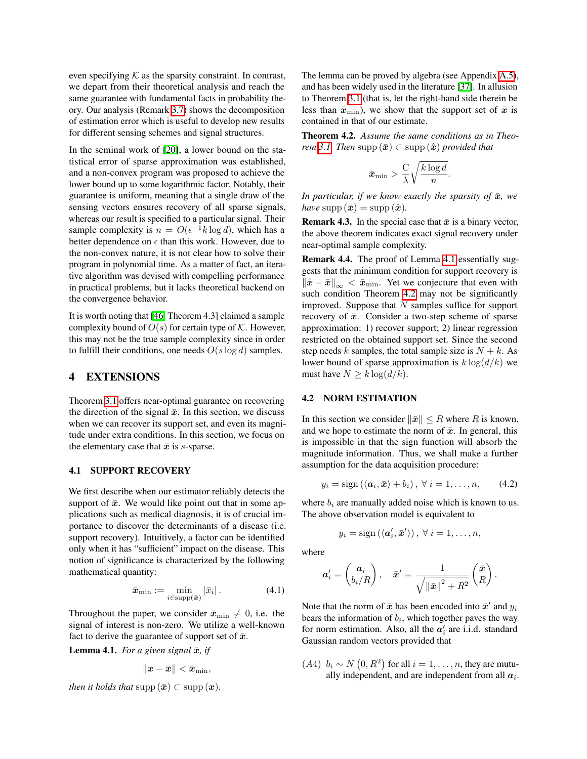even specifying  $K$  as the sparsity constraint. In contrast, we depart from their theoretical analysis and reach the same guarantee with fundamental facts in probability theory. Our analysis (Remark  $\overline{3.7}$ ) shows the decomposition of estimation error which is useful to develop new results for different sensing schemes and signal structures.

In the seminal work of  $[20]$ , a lower bound on the statistical error of sparse approximation was established, and a non-convex program was proposed to achieve the lower bound up to some logarithmic factor. Notably, their guarantee is uniform, meaning that a single draw of the sensing vectors ensures recovery of all sparse signals, whereas our result is specified to a particular signal. Their sample complexity is  $n = O(\epsilon^{-1} k \log d)$ , which has a better dependence on  $\epsilon$  than this work. However, due to the non-convex nature, it is not clear how to solve their program in polynomial time. As a matter of fact, an iterative algorithm was devised with compelling performance in practical problems, but it lacks theoretical backend on the convergence behavior.

It is worth noting that  $[46]$ , Theorem 4.3] claimed a sample complexity bound of  $O(s)$  for certain type of  $K$ . However, this may not be the true sample complexity since in order to fulfill their conditions, one needs  $O(s \log d)$  samples.

# <span id="page-5-0"></span>4 EXTENSIONS

Theorem [3.1](#page-3-3) offers near-optimal guarantee on recovering the direction of the signal  $\bar{x}$ . In this section, we discuss when we can recover its support set, and even its magnitude under extra conditions. In this section, we focus on the elementary case that  $\bar{x}$  is *s*-sparse.

#### 4.1 SUPPORT RECOVERY

We first describe when our estimator reliably detects the support of  $\bar{x}$ . We would like point out that in some applications such as medical diagnosis, it is of crucial importance to discover the determinants of a disease (i.e. support recovery). Intuitively, a factor can be identified only when it has "sufficient" impact on the disease. This notion of significance is characterized by the following mathematical quantity:

$$
\bar{x}_{\min} := \min_{i \in \text{supp}(\bar{x})} |\bar{x}_i|.
$$
 (4.1)

Throughout the paper, we consider  $\bar{x}_{\min} \neq 0$ , i.e. the signal of interest is non-zero. We utilize a well-known fact to derive the guarantee of support set of  $\bar{x}$ .

<span id="page-5-1"></span>**Lemma 4.1.** *For a given signal*  $\bar{x}$ *, if* 

$$
\|\boldsymbol{x}-\bar{\boldsymbol{x}}\|<\bar{\boldsymbol{x}}_{\min},
$$

*then it holds that* supp  $(\bar{x}) \subset \text{supp}(\bar{x})$ *.* 

The lemma can be proved by algebra (see Appendix  $\overline{A.5}$ ), and has been widely used in the literature [\[37\]](#page-9-3). In allusion to Theorem  $\overline{3.1}$  (that is, let the right-hand side therein be less than  $\bar{x}_{\text{min}}$ ), we show that the support set of  $\bar{x}$  is contained in that of our estimate.

<span id="page-5-2"></span>Theorem 4.2. *Assume the same conditions as in Theorem* $\overline{3.1}$  *Then* supp  $(\bar{x}) \subset \text{supp}(\hat{x})$  *provided that* 

$$
\bar{x}_{\min} > \frac{C}{\lambda} \sqrt{\frac{k \log d}{n}}.
$$

*In particular, if we know exactly the sparsity of*  $\bar{x}$ *, we*  $have \text{ supp } (\bar{x}) = \text{supp } (\hat{x})$ .

**Remark 4.3.** In the special case that  $\bar{x}$  is a binary vector, the above theorem indicates exact signal recovery under near-optimal sample complexity.

**Remark 4.4.** The proof of Lemma [4.1](#page-5-1) essentially suggests that the minimum condition for support recovery is  $\|\hat{x} - \bar{x}\|_{\infty} < \bar{x}_{\min}$ . Yet we conjecture that even with such condition Theorem  $\overline{4.2}$  may not be significantly improved. Suppose that *N* samples suffice for support recovery of  $\bar{x}$ . Consider a two-step scheme of sparse approximation: 1) recover support; 2) linear regression restricted on the obtained support set. Since the second step needs *k* samples, the total sample size is  $N + k$ . As lower bound of sparse approximation is  $k \log(d/k)$  we must have  $N \geq k \log(d/k)$ .

#### <span id="page-5-5"></span>4.2 NORM ESTIMATION

In this section we consider  $\|\bar{x}\| \leq R$  where R is known, and we hope to estimate the norm of  $\bar{x}$ . In general, this is impossible in that the sign function will absorb the magnitude information. Thus, we shall make a further assumption for the data acquisition procedure:

<span id="page-5-3"></span>
$$
y_i = sign\left(\langle \boldsymbol{a}_i, \bar{\boldsymbol{x}}\rangle + b_i\right), \ \forall \ i = 1, \dots, n, \qquad (4.2)
$$

where  $b_i$  are manually added noise which is known to us. The above observation model is equivalent to

$$
y_i = \text{sign}\left(\langle \mathbf{a}'_i, \bar{\mathbf{x}}'\rangle\right), \ \forall \ i = 1, \ldots, n,
$$

where

$$
\mathbf{a}'_i = \begin{pmatrix} \mathbf{a}_i \\ b_i/R \end{pmatrix}, \quad \bar{\mathbf{x}}' = \frac{1}{\sqrt{\|\bar{\mathbf{x}}\|^2 + R^2}} \begin{pmatrix} \bar{\mathbf{x}} \\ R \end{pmatrix}
$$

*.*

Note that the norm of  $\bar{x}$  has been encoded into  $\bar{x}'$  and  $y_i$ bears the information of  $b_i$ , which together paves the way for norm estimation. Also, all the  $a_i'$  are i.i.d. standard Gaussian random vectors provided that

<span id="page-5-4"></span> $(A4)$   $b_i \sim N(0, R^2)$  for all  $i = 1, \ldots, n$ , they are mutually independent, and are independent from all *ai*.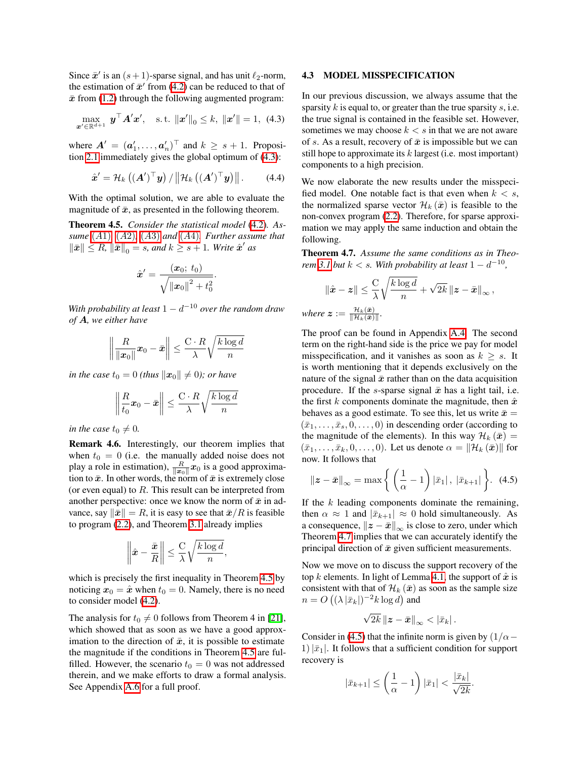Since  $\bar{x}$ ' is an  $(s + 1)$ -sparse signal, and has unit  $\ell_2$ -norm, the estimation of  $\bar{x}$ <sup> $\prime$ </sup> from [\(4.2\)](#page-5-3) can be reduced to that of  $\bar{x}$  from  $(1.2)$  through the following augmented program:

<span id="page-6-1"></span>
$$
\max_{\bm{x}' \in \mathbb{R}^{d+1}} \bm{y}^{\top} \bm{A}' \bm{x}', \quad \text{s.t. } \|\bm{x}'\|_0 \leq k, \ \|\bm{x}'\| = 1, \tag{4.3}
$$

where  $A' = (a'_1, \ldots, a'_n)^\top$  and  $k \geq s + 1$ . Proposition  $[2.1]$  immediately gives the global optimum of  $(4.3)$ :

$$
\hat{\mathbf{x}}' = \mathcal{H}_k\left( (\mathbf{A}')^\top \mathbf{y} \right) / \left\| \mathcal{H}_k\left( (\mathbf{A}')^\top \mathbf{y} \right) \right\|. \tag{4.4}
$$

With the optimal solution, we are able to evaluate the magnitude of  $\bar{x}$ , as presented in the following theorem.

<span id="page-6-2"></span>Theorem 4.5. *Consider the statistical model* [\(4.2\)](#page-5-3)*. Assume*  $\overline{(A1)}$  $\overline{(A1)}$  $\overline{(A1)}$ ,  $\overline{(A2)}$  $\overline{(A2)}$  $\overline{(A2)}$ ,  $\overline{(A3)}$  $\overline{(A3)}$  $\overline{(A3)}$  *and*  $\overline{(A4)}$  $\overline{(A4)}$  $\overline{(A4)}$ *. Further assume that*  $\|\bar{x}\| \leq R$ ,  $\|\bar{x}\|_0 = s$ , and  $k \geq s + 1$ . Write  $\hat{x}'$  as

$$
\hat{\bm{x}}' = \frac{(\bm{x}_0;~t_0)}{\sqrt{\|\bm{x}_0\|^2 + t_0^2}}.
$$

*With probability at least*  $1 - d^{-10}$  *over the random draw of A, we either have*

$$
\left\|\frac{R}{\|\boldsymbol{x}_0\|}\boldsymbol{x}_0-\bar{\boldsymbol{x}}\right\|\leq \frac{C\cdot R}{\lambda}\sqrt{\frac{k\log d}{n}}
$$

*in the case*  $t_0 = 0$  (*thus*  $\|\boldsymbol{x}_0\| \neq 0$ *); or have* 

$$
\left\| \frac{R}{t_0} \boldsymbol{x}_0 - \bar{\boldsymbol{x}} \right\| \leq \frac{C \cdot R}{\lambda} \sqrt{\frac{k \log d}{n}}
$$

*in the case*  $t_0 \neq 0$ *.* 

Remark 4.6. Interestingly, our theorem implies that when  $t_0 = 0$  (i.e. the manually added noise does not play a role in estimation),  $\frac{R}{||x_0||}x_0$  is a good approximation to  $\bar{x}$ . In other words, the norm of  $\bar{x}$  is extremely close (or even equal) to *R*. This result can be interpreted from another perspective: once we know the norm of  $\bar{x}$  in advance, say  $\|\bar{x}\| = R$ , it is easy to see that  $\bar{x}/R$  is feasible to program  $(2.2)$ , and Theorem  $3.1$  already implies

$$
\left\|\hat{\boldsymbol{x}} - \frac{\bar{\boldsymbol{x}}}{R}\right\| \leq \frac{C}{\lambda} \sqrt{\frac{k \log d}{n}},
$$

which is precisely the first inequality in Theorem  $4.5$  by noticing  $x_0 = \hat{x}$  when  $t_0 = 0$ . Namely, there is no need to consider model  $(4.2)$ .

The analysis for  $t_0 \neq 0$  follows from Theorem 4 in [\[21\]](#page-9-9), which showed that as soon as we have a good approximation to the direction of  $\bar{x}$ , it is possible to estimate the magnitude if the conditions in Theorem  $\overline{4.5}$  are fulfilled. However, the scenario  $t_0 = 0$  was not addressed therein, and we make efforts to draw a formal analysis. See Appendix [A.6](#page-0-2) for a full proof.

#### <span id="page-6-0"></span>4.3 MODEL MISSPECIFICATION

In our previous discussion, we always assume that the sparsity *k* is equal to, or greater than the true sparsity *s*, i.e. the true signal is contained in the feasible set. However, sometimes we may choose  $k < s$  in that we are not aware of *s*. As a result, recovery of  $\bar{x}$  is impossible but we can still hope to approximate its *k* largest (i.e. most important) components to a high precision.

We now elaborate the new results under the misspecified model. One notable fact is that even when  $k < s$ , the normalized sparse vector  $\mathcal{H}_k(\bar{x})$  is feasible to the non-convex program  $(2.2)$ . Therefore, for sparse approximation we may apply the same induction and obtain the following.

<span id="page-6-3"></span>Theorem 4.7. *Assume the same conditions as in Theorem* [3.1](#page-3-3) but  $k < s$ . With probability at least  $1 - d^{-10}$ ,

$$
\|\hat{\boldsymbol{x}} - \boldsymbol{z}\| \leq \frac{C}{\lambda} \sqrt{\frac{k \log d}{n}} + \sqrt{2k} \left\|\boldsymbol{z} - \bar{\boldsymbol{x}}\right\|_{\infty},
$$
  
where  $\boldsymbol{z} := \frac{\mathcal{H}_k(\bar{\boldsymbol{x}})}{\|\mathcal{H}_k(\bar{\boldsymbol{x}})\|}.$ 

The proof can be found in Appendix  $\overline{A.4}$ . The second term on the right-hand side is the price we pay for model misspecification, and it vanishes as soon as  $k \geq s$ . It is worth mentioning that it depends exclusively on the nature of the signal  $\bar{x}$  rather than on the data acquisition procedure. If the *s*-sparse signal  $\bar{x}$  has a light tail, i.e. the first *k* components dominate the magnitude, then  $\hat{x}$ behaves as a good estimate. To see this, let us write  $\bar{x}$  =  $(\bar{x}_1, \ldots, \bar{x}_s, 0, \ldots, 0)$  in descending order (according to the magnitude of the elements). In this way  $\mathcal{H}_k(\bar{x}) =$  $(\bar{x}_1, \ldots, \bar{x}_k, 0, \ldots, 0)$ . Let us denote  $\alpha = ||\mathcal{H}_k(\bar{x})||$  for now. It follows that

<span id="page-6-4"></span>
$$
\|\boldsymbol{z} - \bar{\boldsymbol{x}}\|_{\infty} = \max\left\{ \left( \frac{1}{\alpha} - 1 \right) |\bar{x}_1|, |\bar{x}_{k+1}| \right\}. (4.5)
$$

If the *k* leading components dominate the remaining, then  $\alpha \approx 1$  and  $|\bar{x}_{k+1}| \approx 0$  hold simultaneously. As a consequence,  $||z - \bar{x}||_{\infty}$  is close to zero, under which Theorem  $\frac{4.7}{1}$  implies that we can accurately identify the principal direction of  $\bar{x}$  given sufficient measurements.

Now we move on to discuss the support recovery of the top *k* elements. In light of Lemma  $\overline{4.1}$ , the support of  $\hat{x}$  is consistent with that of  $\mathcal{H}_k(\bar{\mathbf{x}})$  as soon as the sample size  $n = O\left((\lambda |\bar{x}_k|)^{-2}k \log d\right)$  and

$$
\sqrt{2k}\left\| \boldsymbol{z} - \bar{\boldsymbol{x}} \right\|_{\infty} < \left| \bar{x}_k \right|.
$$

Consider in  $(4.5)$  that the infinite norm is given by  $(1/\alpha -$ 1)  $|\bar{x}_1|$ . It follows that a sufficient condition for support recovery is

$$
|\bar{x}_{k+1}| \le \left(\frac{1}{\alpha} - 1\right)|\bar{x}_1| < \frac{|\bar{x}_k|}{\sqrt{2k}}.
$$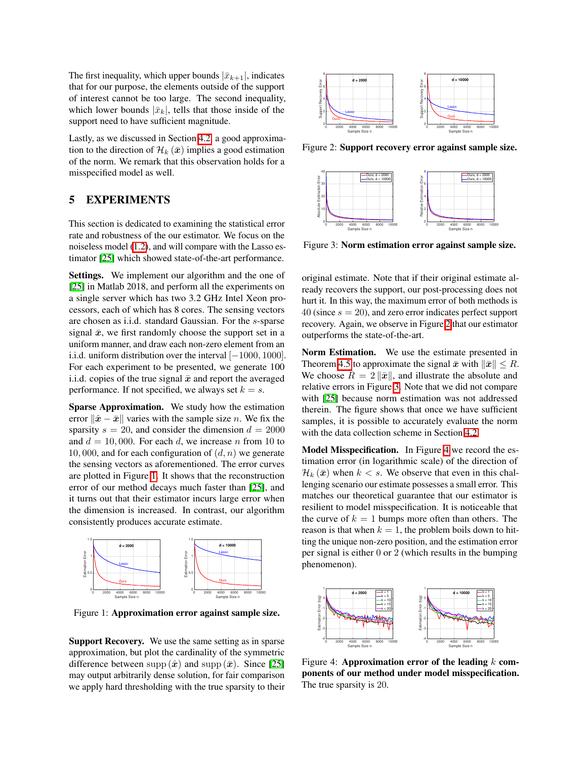The first inequality, which upper bounds  $|\bar{x}_{k+1}|$ , indicates that for our purpose, the elements outside of the support of interest cannot be too large. The second inequality, which lower bounds  $|\bar{x}_k|$ , tells that those inside of the support need to have sufficient magnitude.

Lastly, as we discussed in Section  $\overline{4.2}$ , a good approximation to the direction of  $\mathcal{H}_k(\bar{\mathbf{x}})$  implies a good estimation of the norm. We remark that this observation holds for a misspecified model as well.

# <span id="page-7-0"></span>5 EXPERIMENTS

This section is dedicated to examining the statistical error rate and robustness of the our estimator. We focus on the noiseless model  $(1.2)$ , and will compare with the Lasso es-timator [\[25\]](#page-9-21) which showed state-of-the-art performance.

Settings. We implement our algorithm and the one of [\[25\]](#page-9-21) in Matlab 2018, and perform all the experiments on a single server which has two 3.2 GHz Intel Xeon processors, each of which has 8 cores. The sensing vectors are chosen as i.i.d. standard Gaussian. For the *s*-sparse signal  $\bar{x}$ , we first randomly choose the support set in a uniform manner, and draw each non-zero element from an i.i.d. uniform distribution over the interval  $[-1000, 1000]$ . For each experiment to be presented, we generate 100 i.i.d. copies of the true signal  $\bar{x}$  and report the averaged performance. If not specified, we always set  $k = s$ .

Sparse Approximation. We study how the estimation error  $\|\hat{\mathbf{x}} - \bar{\mathbf{x}}\|$  varies with the sample size *n*. We fix the sparsity  $s = 20$ , and consider the dimension  $d = 2000$ and  $d = 10,000$ . For each  $d$ , we increase  $n$  from 10 to 10,000, and for each configuration of  $(d, n)$  we generate the sensing vectors as aforementioned. The error curves are plotted in Figure  $\boxed{1}$ . It shows that the reconstruction error of our method decays much faster than  $[25]$ , and it turns out that their estimator incurs large error when the dimension is increased. In contrast, our algorithm consistently produces accurate estimate.



<span id="page-7-1"></span>Figure 1: Approximation error against sample size.

Support Recovery. We use the same setting as in sparse approximation, but plot the cardinality of the symmetric difference between supp  $(\hat{x})$  and supp  $(\bar{x})$ . Since [\[25\]](#page-9-21) may output arbitrarily dense solution, for fair comparison we apply hard thresholding with the true sparsity to their



<span id="page-7-2"></span>Figure 2: Support recovery error against sample size.



<span id="page-7-3"></span>Figure 3: Norm estimation error against sample size.

original estimate. Note that if their original estimate already recovers the support, our post-processing does not hurt it. In this way, the maximum error of both methods is 40 (since *s* = 20), and zero error indicates perfect support recovery. Again, we observe in Figure  $2$  that our estimator outperforms the state-of-the-art.

Norm Estimation. We use the estimate presented in Theorem  $\left| 4.5 \right|$  $\left| 4.5 \right|$  $\left| 4.5 \right|$  to approximate the signal  $\bar{x}$  with  $\left\| \bar{x} \right\| \leq R$ . We choose  $\overline{R} = 2 ||\overline{x}||$ , and illustrate the absolute and relative errors in Figure  $\beta$ . Note that we did not compare with [\[25\]](#page-9-21) because norm estimation was not addressed therein. The figure shows that once we have sufficient samples, it is possible to accurately evaluate the norm with the data collection scheme in Section [4.2.](#page-5-5)

**Model Misspecification.** In Figure  $\overline{4}$  we record the estimation error (in logarithmic scale) of the direction of  $\mathcal{H}_k(\bar{x})$  when  $k < s$ . We observe that even in this challenging scenario our estimate possesses a small error. This matches our theoretical guarantee that our estimator is resilient to model misspecification. It is noticeable that the curve of  $k = 1$  bumps more often than others. The reason is that when  $k = 1$ , the problem boils down to hitting the unique non-zero position, and the estimation error per signal is either 0 or 2 (which results in the bumping phenomenon).



<span id="page-7-4"></span>Figure 4: Approximation error of the leading *k* components of our method under model misspecification. The true sparsity is 20.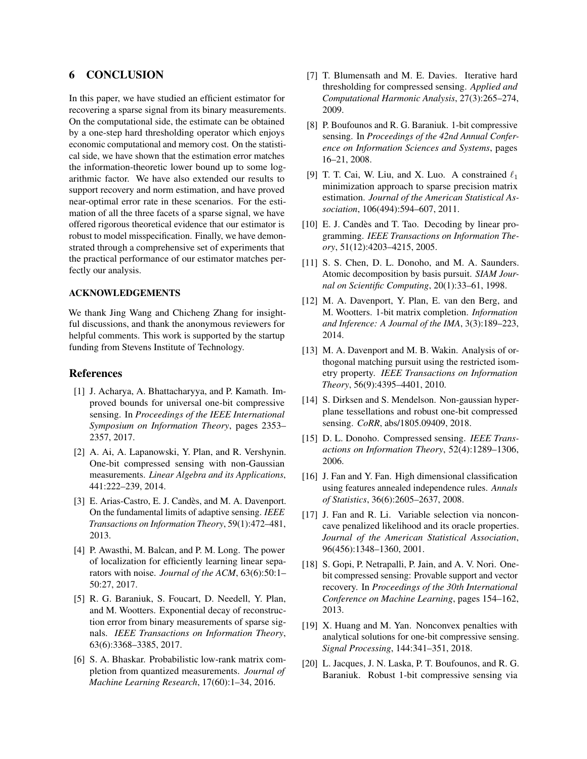# <span id="page-8-18"></span>6 CONCLUSION

In this paper, we have studied an efficient estimator for recovering a sparse signal from its binary measurements. On the computational side, the estimate can be obtained by a one-step hard thresholding operator which enjoys economic computational and memory cost. On the statistical side, we have shown that the estimation error matches the information-theoretic lower bound up to some logarithmic factor. We have also extended our results to support recovery and norm estimation, and have proved near-optimal error rate in these scenarios. For the estimation of all the three facets of a sparse signal, we have offered rigorous theoretical evidence that our estimator is robust to model misspecification. Finally, we have demonstrated through a comprehensive set of experiments that the practical performance of our estimator matches perfectly our analysis.

#### ACKNOWLEDGEMENTS

We thank Jing Wang and Chicheng Zhang for insightful discussions, and thank the anonymous reviewers for helpful comments. This work is supported by the startup funding from Stevens Institute of Technology.

# References

- <span id="page-8-13"></span>[1] J. Acharya, A. Bhattacharyya, and P. Kamath. Improved bounds for universal one-bit compressive sensing. In *Proceedings of the IEEE International Symposium on Information Theory*, pages 2353– 2357, 2017.
- <span id="page-8-19"></span>[2] A. Ai, A. Lapanowski, Y. Plan, and R. Vershynin. One-bit compressed sensing with non-Gaussian measurements. *Linear Algebra and its Applications*, 441:222–239, 2014.
- <span id="page-8-15"></span>[3] E. Arias-Castro, E. J. Candès, and M. A. Davenport. On the fundamental limits of adaptive sensing. *IEEE Transactions on Information Theory*, 59(1):472–481, 2013.
- <span id="page-8-14"></span>[4] P. Awasthi, M. Balcan, and P. M. Long. The power of localization for efficiently learning linear separators with noise. *Journal of the ACM*, 63(6):50:1– 50:27, 2017.
- <span id="page-8-10"></span>[5] R. G. Baraniuk, S. Foucart, D. Needell, Y. Plan, and M. Wootters. Exponential decay of reconstruction error from binary measurements of sparse signals. *IEEE Transactions on Information Theory*, 63(6):3368–3385, 2017.
- <span id="page-8-17"></span>[6] S. A. Bhaskar. Probabilistic low-rank matrix completion from quantized measurements. *Journal of Machine Learning Research*, 17(60):1–34, 2016.
- <span id="page-8-5"></span>[7] T. Blumensath and M. E. Davies. Iterative hard thresholding for compressed sensing. *Applied and Computational Harmonic Analysis*, 27(3):265–274, 2009.
- <span id="page-8-6"></span>[8] P. Boufounos and R. G. Baraniuk. 1-bit compressive sensing. In *Proceedings of the 42nd Annual Conference on Information Sciences and Systems*, pages 16–21, 2008.
- <span id="page-8-2"></span>[9] T. T. Cai, W. Liu, and X. Luo. A constrained  $\ell_1$ minimization approach to sparse precision matrix estimation. *Journal of the American Statistical Association*, 106(494):594–607, 2011.
- <span id="page-8-4"></span>[10] E. J. Candès and T. Tao. Decoding by linear programming. *IEEE Transactions on Information Theory*, 51(12):4203–4215, 2005.
- <span id="page-8-0"></span>[11] S. S. Chen, D. L. Donoho, and M. A. Saunders. Atomic decomposition by basis pursuit. *SIAM Journal on Scientific Computing*, 20(1):33–61, 1998.
- <span id="page-8-16"></span>[12] M. A. Davenport, Y. Plan, E. van den Berg, and M. Wootters. 1-bit matrix completion. *Information and Inference: A Journal of the IMA*, 3(3):189–223, 2014.
- <span id="page-8-20"></span>[13] M. A. Davenport and M. B. Wakin. Analysis of orthogonal matching pursuit using the restricted isometry property. *IEEE Transactions on Information Theory*, 56(9):4395–4401, 2010.
- <span id="page-8-11"></span>[14] S. Dirksen and S. Mendelson. Non-gaussian hyperplane tessellations and robust one-bit compressed sensing. *CoRR*, abs/1805.09409, 2018.
- <span id="page-8-3"></span>[15] D. L. Donoho. Compressed sensing. *IEEE Transactions on Information Theory*, 52(4):1289–1306, 2006.
- <span id="page-8-1"></span>[16] J. Fan and Y. Fan. High dimensional classification using features annealed independence rules. *Annals of Statistics*, 36(6):2605–2637, 2008.
- <span id="page-8-9"></span>[17] J. Fan and R. Li. Variable selection via nonconcave penalized likelihood and its oracle properties. *Journal of the American Statistical Association*, 96(456):1348–1360, 2001.
- <span id="page-8-12"></span>[18] S. Gopi, P. Netrapalli, P. Jain, and A. V. Nori. Onebit compressed sensing: Provable support and vector recovery. In *Proceedings of the 30th International Conference on Machine Learning*, pages 154–162, 2013.
- <span id="page-8-8"></span>[19] X. Huang and M. Yan. Nonconvex penalties with analytical solutions for one-bit compressive sensing. *Signal Processing*, 144:341–351, 2018.
- <span id="page-8-7"></span>[20] L. Jacques, J. N. Laska, P. T. Boufounos, and R. G. Baraniuk. Robust 1-bit compressive sensing via